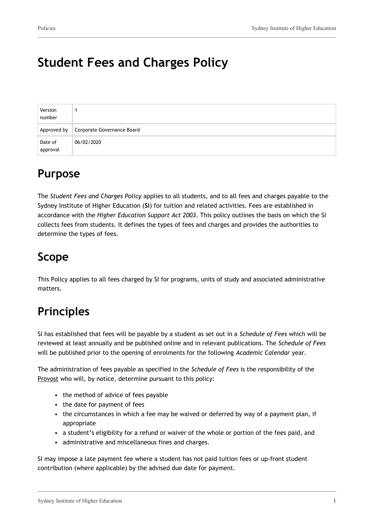# **Student Fees and Charges Policy**

| Version<br>number   |                            |
|---------------------|----------------------------|
| Approved by         | Corporate Governance Board |
| Date of<br>approval | 06/02/2020                 |

## **Purpose**

The *Student Fees and Charges Policy* applies to all students, and to all fees and charges payable to the Sydney Institute of Higher Education (**SI**) for tuition and related activities. Fees are established in accordance with the *Higher Education Support Act 2003*. This policy outlines the basis on which the SI collects fees from students. It defines the types of fees and charges and provides the authorities to determine the types of fees.

## **Scope**

This Policy applies to all fees charged by SI for programs, units of study and associated administrative matters.

# **Principles**

SI has established that fees will be payable by a student as set out in a *Schedule of Fees* which will be reviewed at least annually and be published online and in relevant publications. The *Schedule of Fees* will be published prior to the opening of enrolments for the following *Academic Calendar* year.

The administration of fees payable as specified in the *Schedule of Fees* is the responsibility of the Provost who will, by notice, determine pursuant to this policy:

- the method of advice of fees payable
- the date for payment of fees
- the circumstances in which a fee may be waived or deferred by way of a payment plan, if appropriate
- a student's eligibility for a refund or waiver of the whole or portion of the fees paid, and
- administrative and miscellaneous fines and charges.

SI may impose a late payment fee where a student has not paid tuition fees or up-front student contribution (where applicable) by the advised due date for payment.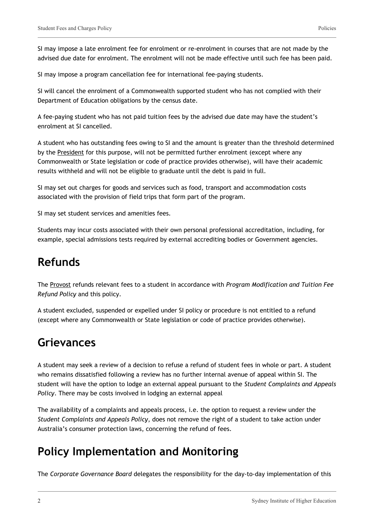SI may impose a late enrolment fee for enrolment or re-enrolment in courses that are not made by the advised due date for enrolment. The enrolment will not be made effective until such fee has been paid.

SI may impose a program cancellation fee for international fee-paying students.

SI will cancel the enrolment of a Commonwealth supported student who has not complied with their Department of Education obligations by the census date.

A fee-paying student who has not paid tuition fees by the advised due date may have the student's enrolment at SI cancelled.

A student who has outstanding fees owing to SI and the amount is greater than the threshold determined by the President for this purpose, will not be permitted further enrolment (except where any Commonwealth or State legislation or code of practice provides otherwise), will have their academic results withheld and will not be eligible to graduate until the debt is paid in full.

SI may set out charges for goods and services such as food, transport and accommodation costs associated with the provision of field trips that form part of the program.

SI may set student services and amenities fees.

Students may incur costs associated with their own personal professional accreditation, including, for example, special admissions tests required by external accrediting bodies or Government agencies.

### **Refunds**

The Provost refunds relevant fees to a student in accordance with *Program Modification and Tuition Fee Refund Policy* and this policy.

A student excluded, suspended or expelled under SI policy or procedure is not entitled to a refund (except where any Commonwealth or State legislation or code of practice provides otherwise).

#### **Grievances**

A student may seek a review of a decision to refuse a refund of student fees in whole or part. A student who remains dissatisfied following a review has no further internal avenue of appeal within SI. The student will have the option to lodge an external appeal pursuant to the *Student Complaints and Appeals Policy*. There may be costs involved in lodging an external appeal

The availability of a complaints and appeals process, i.e. the option to request a review under the *Student Complaints and Appeals Policy*, does not remove the right of a student to take action under Australia's consumer protection laws, concerning the refund of fees.

### **Policy Implementation and Monitoring**

The *Corporate Governance Board* delegates the responsibility for the day-to-day implementation of this